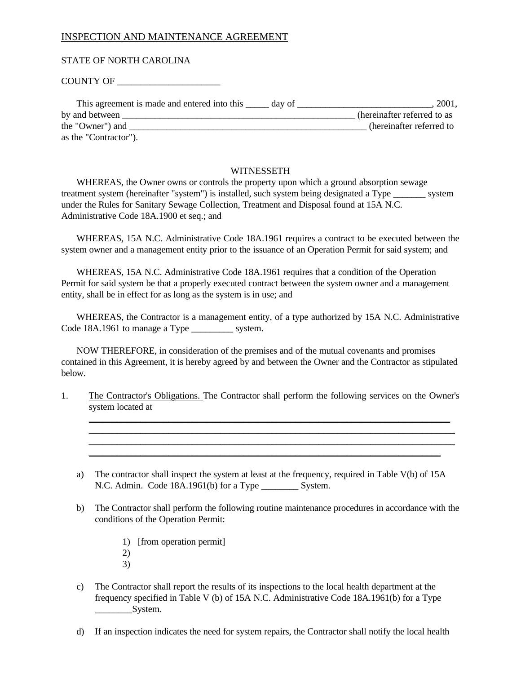#### STATE OF NORTH CAROLINA

COUNTY OF \_\_\_\_\_\_\_\_\_\_\_\_\_\_\_\_\_\_\_\_\_\_

| This agreement is made and entered into this<br>day of | 2001,                       |
|--------------------------------------------------------|-----------------------------|
| by and between                                         | (hereinafter referred to as |
| the "Owner") and                                       | (hereinafter referred to    |
| as the "Contractor").                                  |                             |

#### **WITNESSETH**

WHEREAS, the Owner owns or controls the property upon which a ground absorption sewage treatment system (hereinafter "system") is installed, such system being designated a Type \_\_\_\_\_\_\_ system under the Rules for Sanitary Sewage Collection, Treatment and Disposal found at 15A N.C. Administrative Code 18A.1900 et seq.; and

WHEREAS, 15A N.C. Administrative Code 18A.1961 requires a contract to be executed between the system owner and a management entity prior to the issuance of an Operation Permit for said system; and

WHEREAS, 15A N.C. Administrative Code 18A.1961 requires that a condition of the Operation Permit for said system be that a properly executed contract between the system owner and a management entity, shall be in effect for as long as the system is in use; and

WHEREAS, the Contractor is a management entity, of a type authorized by 15A N.C. Administrative Code 18A.1961 to manage a Type system.

NOW THEREFORE, in consideration of the premises and of the mutual covenants and promises contained in this Agreement, it is hereby agreed by and between the Owner and the Contractor as stipulated below.

1. The Contractor's Obligations. The Contractor shall perform the following services on the Owner's system located at

\_\_\_\_\_\_\_\_\_\_\_\_\_\_\_\_\_\_\_\_\_\_\_\_\_\_\_\_\_\_\_\_\_\_\_\_\_\_\_\_\_\_\_\_\_\_\_\_\_\_\_\_\_\_\_\_\_\_\_\_\_\_\_\_\_\_\_\_\_\_\_\_\_\_\_\_\_ \_\_\_\_\_\_\_\_\_\_\_\_\_\_\_\_\_\_\_\_\_\_\_\_\_\_\_\_\_\_\_\_\_\_\_\_\_\_\_\_\_\_\_\_\_\_\_\_\_\_\_\_\_\_\_\_\_\_\_\_\_\_\_\_\_\_\_\_\_\_\_\_\_\_\_\_\_\_ \_\_\_\_\_\_\_\_\_\_\_\_\_\_\_\_\_\_\_\_\_\_\_\_\_\_\_\_\_\_\_\_\_\_\_\_\_\_\_\_\_\_\_\_\_\_\_\_\_\_\_\_\_\_\_\_\_\_\_\_\_\_\_\_\_\_\_\_\_\_\_\_\_\_\_\_\_\_

- a) The contractor shall inspect the system at least at the frequency, required in Table V(b) of 15A N.C. Admin. Code 18A.1961(b) for a Type \_\_\_\_\_\_\_\_ System.
- b) The Contractor shall perform the following routine maintenance procedures in accordance with the conditions of the Operation Permit:
	- 1) [from operation permit] 2) 3)
- c) The Contractor shall report the results of its inspections to the local health department at the frequency specified in Table V (b) of 15A N.C. Administrative Code 18A.1961(b) for a Type \_\_\_\_\_\_\_\_\_\_System.
- d) If an inspection indicates the need for system repairs, the Contractor shall notify the local health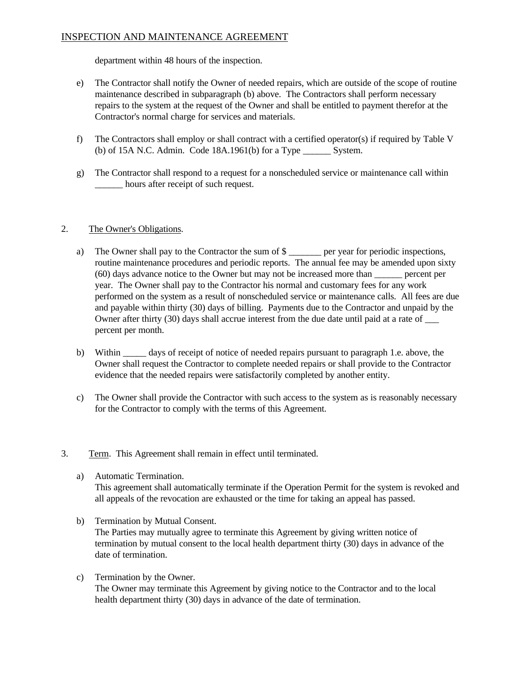department within 48 hours of the inspection.

- e) The Contractor shall notify the Owner of needed repairs, which are outside of the scope of routine maintenance described in subparagraph (b) above. The Contractors shall perform necessary repairs to the system at the request of the Owner and shall be entitled to payment therefor at the Contractor's normal charge for services and materials.
- f) The Contractors shall employ or shall contract with a certified operator(s) if required by Table V (b) of 15A N.C. Admin. Code  $18A.1961(b)$  for a Type System.
- g) The Contractor shall respond to a request for a nonscheduled service or maintenance call within hours after receipt of such request.

### 2. The Owner's Obligations.

- a) The Owner shall pay to the Contractor the sum of  $\frac{1}{2}$  per year for periodic inspections, routine maintenance procedures and periodic reports. The annual fee may be amended upon sixty (60) days advance notice to the Owner but may not be increased more than \_\_\_\_\_\_ percent per year. The Owner shall pay to the Contractor his normal and customary fees for any work performed on the system as a result of nonscheduled service or maintenance calls. All fees are due and payable within thirty (30) days of billing. Payments due to the Contractor and unpaid by the Owner after thirty (30) days shall accrue interest from the due date until paid at a rate of  $\qquad$ percent per month.
- b) Within \_\_\_\_\_ days of receipt of notice of needed repairs pursuant to paragraph 1.e. above, the Owner shall request the Contractor to complete needed repairs or shall provide to the Contractor evidence that the needed repairs were satisfactorily completed by another entity.
- c) The Owner shall provide the Contractor with such access to the system as is reasonably necessary for the Contractor to comply with the terms of this Agreement.
- 3. Term. This Agreement shall remain in effect until terminated.
	- a) Automatic Termination. This agreement shall automatically terminate if the Operation Permit for the system is revoked and all appeals of the revocation are exhausted or the time for taking an appeal has passed.
	- b) Termination by Mutual Consent. The Parties may mutually agree to terminate this Agreement by giving written notice of termination by mutual consent to the local health department thirty (30) days in advance of the date of termination.
	- c) Termination by the Owner. The Owner may terminate this Agreement by giving notice to the Contractor and to the local health department thirty (30) days in advance of the date of termination.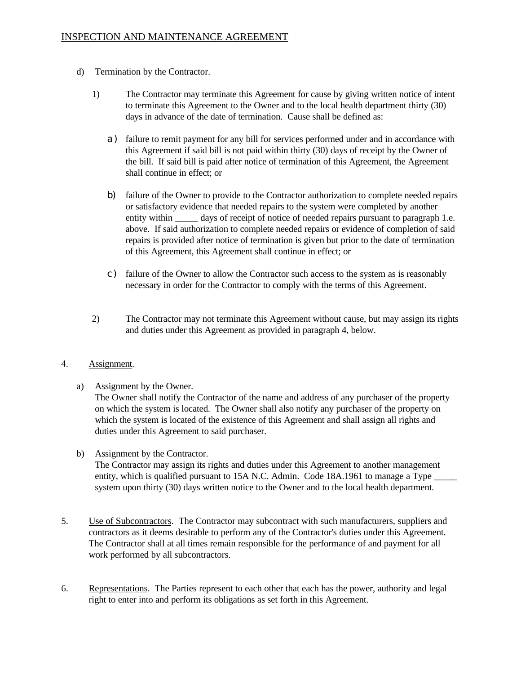- d) Termination by the Contractor.
	- 1) The Contractor may terminate this Agreement for cause by giving written notice of intent to terminate this Agreement to the Owner and to the local health department thirty (30) days in advance of the date of termination. Cause shall be defined as:
		- a) failure to remit payment for any bill for services performed under and in accordance with this Agreement if said bill is not paid within thirty (30) days of receipt by the Owner of the bill. If said bill is paid after notice of termination of this Agreement, the Agreement shall continue in effect; or
		- b) failure of the Owner to provide to the Contractor authorization to complete needed repairs or satisfactory evidence that needed repairs to the system were completed by another entity within days of receipt of notice of needed repairs pursuant to paragraph 1.e. above. If said authorization to complete needed repairs or evidence of completion of said repairs is provided after notice of termination is given but prior to the date of termination of this Agreement, this Agreement shall continue in effect; or
		- c) failure of the Owner to allow the Contractor such access to the system as is reasonably necessary in order for the Contractor to comply with the terms of this Agreement.
	- 2) The Contractor may not terminate this Agreement without cause, but may assign its rights and duties under this Agreement as provided in paragraph 4, below.

### 4. Assignment.

a) Assignment by the Owner.

The Owner shall notify the Contractor of the name and address of any purchaser of the property on which the system is located. The Owner shall also notify any purchaser of the property on which the system is located of the existence of this Agreement and shall assign all rights and duties under this Agreement to said purchaser.

b) Assignment by the Contractor.

The Contractor may assign its rights and duties under this Agreement to another management entity, which is qualified pursuant to 15A N.C. Admin. Code 18A.1961 to manage a Type system upon thirty (30) days written notice to the Owner and to the local health department.

- 5. Use of Subcontractors. The Contractor may subcontract with such manufacturers, suppliers and contractors as it deems desirable to perform any of the Contractor's duties under this Agreement. The Contractor shall at all times remain responsible for the performance of and payment for all work performed by all subcontractors.
- 6. Representations. The Parties represent to each other that each has the power, authority and legal right to enter into and perform its obligations as set forth in this Agreement.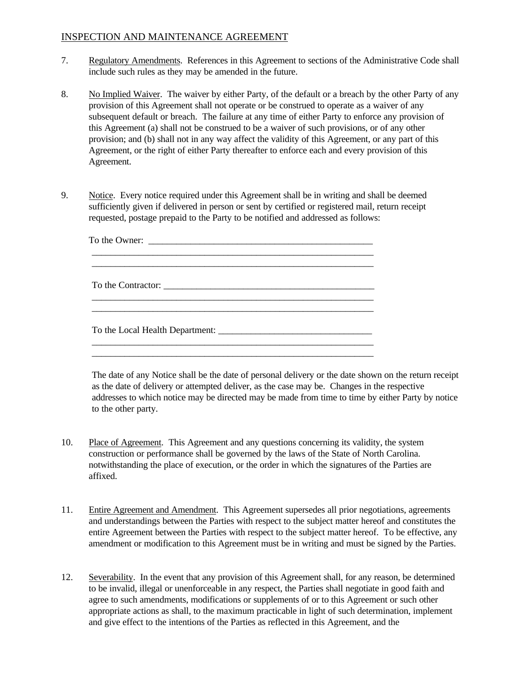- 7. Regulatory Amendments. References in this Agreement to sections of the Administrative Code shall include such rules as they may be amended in the future.
- 8. No Implied Waiver. The waiver by either Party, of the default or a breach by the other Party of any provision of this Agreement shall not operate or be construed to operate as a waiver of any subsequent default or breach. The failure at any time of either Party to enforce any provision of this Agreement (a) shall not be construed to be a waiver of such provisions, or of any other provision; and (b) shall not in any way affect the validity of this Agreement, or any part of this Agreement, or the right of either Party thereafter to enforce each and every provision of this Agreement.
- 9. Notice. Every notice required under this Agreement shall be in writing and shall be deemed sufficiently given if delivered in person or sent by certified or registered mail, return receipt requested, postage prepaid to the Party to be notified and addressed as follows:

The date of any Notice shall be the date of personal delivery or the date shown on the return receipt as the date of delivery or attempted deliver, as the case may be. Changes in the respective addresses to which notice may be directed may be made from time to time by either Party by notice to the other party.

- 10. Place of Agreement. This Agreement and any questions concerning its validity, the system construction or performance shall be governed by the laws of the State of North Carolina. notwithstanding the place of execution, or the order in which the signatures of the Parties are affixed.
- 11. Entire Agreement and Amendment. This Agreement supersedes all prior negotiations, agreements and understandings between the Parties with respect to the subject matter hereof and constitutes the entire Agreement between the Parties with respect to the subject matter hereof. To be effective, any amendment or modification to this Agreement must be in writing and must be signed by the Parties.
- 12. Severability. In the event that any provision of this Agreement shall, for any reason, be determined to be invalid, illegal or unenforceable in any respect, the Parties shall negotiate in good faith and agree to such amendments, modifications or supplements of or to this Agreement or such other appropriate actions as shall, to the maximum practicable in light of such determination, implement and give effect to the intentions of the Parties as reflected in this Agreement, and the